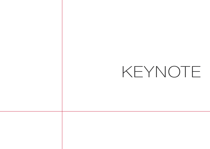## KEYNOTE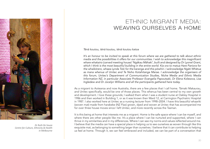

*Dr Ruth De Souza Centre for Culture, Ethnicity & Health in Melbourne*

## ETHNIC MIGRANT MEDIA: WEAVING OURSELVES A HOME

Tēnā koutou, tēnā koutou, tēnā koutou katoa

It's an honour to be invited to speak at this forum where we are gathered to talk about ethnic media and the possibilities it offers for our communities. I wish to acknowledge this magnificent whare whakairo (carved meeting house) 'Ngākau Māhaki', built and designed by Dr Lyonel Grant, which I think is the most beautiful building in the entire world. Kia ora to matua Hare Paniora for the whaikōrero, whaea Lynda Toki for the karanga and this pōwhiri. I acknowledge Ngāti Whātua as mana whenua of Unitec and Te Noho Kotahitanga Marae. I acknowledge the organisers of this forum, Unitec's Department of Communication Studies, Niche Media and Ethnic Media Information NZ, in particular Associate Professor Evangelia Papoutsaki, Dr Elena Kolesova, Lisa Ingledew and Dr Jocelyn Williams and all the participants gathered here today.

As a migrant to Aotearoa and now Australia, there are a few places that I call home. Tāmaki Makaurau, and Unitec specifically, would be one of those places. This whenua has been central to my own growth and development. I love these grounds; I walked them when I was a student nurse at Oakley Hospital in 1986 and then worked in Building 1, or as it was known then Ward 12, at Carrington Psychiatric Hospital in 1987. I also worked here at Unitec as a nursing lecturer from 1998–2004. I have this beautiful whaariki (woven mat) made from harakeke (NZ Flax) grown, dyed and woven at Unitec that has accompanied me for over three house moves since I left Unitec, and more recently across the Tasman.

It is this being at home that interests me as a migrant. Home is the safe space where I can be myself, and where there are other people like me. It's a place where I can be nurtured and supported, where I can thrive in my similarities and in my differences. Where I can see my norms and values reflected around me. I believe that the media can have a special place in helping us to see ourselves as woven through like this exquisite mat, as belonging to something larger than ourselves. I believe that it can contribute to helping us feel at home. Through it, we can feel embraced and included, we can be part of a conversation that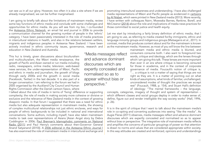can see us in all our glory. However, too often it is also a site where if we are already marginalised, we can be further marginalised.

I am going to briefly talk about the limitations of mainstream media, review some key functions of ethnic media and conclude with some challenges and opportunities for ethnic media. As you will see from my bio, I co-founded the Aotearoa Ethnic Network, an email list and journal in 2006 to provide a communication channel for the growing number of people in the 'ethnic' category. I have been passionately interested in the role of media practices in intercultural relations in health, and also in the relations between settlers, migrants and indigenous peoples in Aotearoa New Zealand. I have been actively involved in ethnic community issues, governance, research and education in New Zealand and Australia.

This hui is timely, given discussions about biculturalism and multiculturalism, the Māori media renaissance, the growth of Pacific and Asian owned or run media including radio, newspapers, online media; television, web-based news services, the under-representation of Māori, Pacific and ethnic in media and journalism, the growth of blogs through early 2000s and the growth in social media (Facebook, Twitter) in the last decade. It is also part of a longer conversation. I am referring to the forum we had in 2005 organised by the Auckland City Council and Human Rights Commission after the Danish cartoon fiasco, where

I talked about the role of media in terms of 'fixing' difference or supporting complexity; the role of media in making society more cohesive or divisive or exclusive and the relevance of New Zealand media in the context of growing diasporic media. In that forum I suggested that there was a need for ethnic media but also adequate representation in mainstream media, the showing of complex multicultural relationships not just ethnic enclaves, and ways for people of ethnic backgrounds to be included in national and international conversations. Some authors, including myself, have also taken mainstream media to task over representations of Asians [Asian Angst story by Debra Coddington in 2006; Paul Brennan's Islamophobic comments on National Radio (2011) and Paul Henry's comments about then-Governor General Anand Satyanand (2010)]. A 2006 editorial in the Aotearoa Ethnic Journal l has also examined the role of mainstream media in intercultural exchange and

"Media messages reflect and advance dominant discourses which are expertly concealed and normalised so as to appear without bias or perspective."

promoting intercultural awareness and understanding. I have also challenged media representations of Māori and Pacific people as evidenced in cartoons by Al Nisbet, which were printed in New Zealand media (2013). More recently, I have written with colleagues Nairn, Moewaka Barnes, Rankine, Borell, and McCreanor (2014) about the role and implications of media news practices for those committed to social justice and health equity.

Let me start by introducing a fairly binary definition of ethnic media, that I am going to use, as referring to media created for/by immigrants, ethnic and language minority groups and indigenous groups (Matsaganis et al., 2011). In contrast, media that produces content about and for the mainstream is known as the mainstream media. However, as most of you will know the line between

mainstream media and ethnic media is blurred, and consumers consume both. I also want to foreground two words, critique and ideology, which are the lenses through which I am giving this talk. These lenses are more important than ever in an era where critique is becoming censured for those in academia, and in the context of corporate governance of media. Foucault's notion of critique is,  $\cdot$   $\ldots$  a critique is not a matter of saying that things are not right as they are. It is a matter of pointing out on what kinds of assumptions, what kinds of familiar, unchallenged, unconsidered modes of thought the practices we accept rest" (Foucault, 1988, p. 154), and Stuart Hall's definition of ideology: "The mental frameworks – the language,

concepts, categories, imagery of thought and system of representation – which different classes and social groups deploy in order to make sense of, define, figure out and render intelligible the way society works" (Hall, 1996, p. 26).

It is in the spirit of critique that I want to talk about the mainstream media's role in co-opting and converting audiences into seeing "like the media". As Augie Fleras (2011) observes, media messages reflect and advance dominant discourses which are expertly concealed and normalised so as to appear without bias or perspective. The integrative role of mainstream media reflects and amplifies the concerns of particular groupings of power so that attention is drawn to norms and values that are considered appropriate within society. In this way attitudes are created and reinforced, opinions and understandings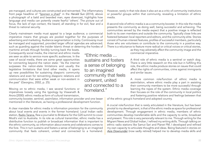are managed, and cultures are constructed and reinvented. The inflammatory front page headline of "Sponsor a jihad" in the Herald Sun (2014), above a photograph of a bald and bearded man, eyes downcast, highlights how language and media can potently create fearful 'others'. The picture out of focus, the lack of eye contact, the beard, all standing in for evil, fear and a threat to national security.

Clearly mainstream media must appeal to a large audience; a commercial imperative means that groups are pooled together for the purposes of advertising and marketing. Audience segmentation is tricky. Controversy must be managed and supported, provided larger official agendas are advanced; such as guarding against the insider Islamic threat or deterring the hordes of

maritime arrivals through forcibly turning back the boats. Consequently social media, the internet and ethnic media are seen as able to service more specific audiences. In the case of social media, there are some great opportunities for connecting beyond the nation state: "As the internet surpasses the nation-state limitations and usually the legislative limitations that bind other media, it opens up new possibilities for sustaining diasporic community relations and even for reinventing diasporic relations and communication that were either weak or non-existent in the past" (Georgiou, 2002, p. 25).

Moving on to ethnic media, I see several functions or imperatives loosely using the typology by Viswanath & Arora (2000): ethnic media as form of cultural transmission,

community booster, sentinel, assimilator, information provider and one lesser mentioned in the literature, as having a professional development function.

A clear mandate for ethnic media is information provision for the community about local events and events in the former homeland. Local Indian radio station, Radio Tarana, flew a journalist to Brisbane for the G20 summit to cover Modi's visit to Australia. In its role as cultural transmitter, ethnic media has a distributive function to publish or broadcast information that is important to the ethnic community, so information about events and celebrations comes to the fore. This in turn sustains and fosters a sense of belonging to an imagined community that feels coherent, united and connected to a homeland.

"Ethnic media ... sustains and fosters a sense of belonging to an imagined community that feels coherent, united and connected to a homeland."

However, rarely in that role does it also act as a critic of community institutions or powerful groups within that community, revealing a limitation of ethnic media.

A second role of ethnic media is as a community booster. In this role the media presents the community as doing well, being successful and achieving. The communities served by the media expect that a positive image is reflected both to its own members and outside the community. Typically close links are fostered between local reporters and editors, and the community elite. Stories consist of human-interest features, profiles of successful members, particularly those who are volunteers or contribute to the community in a positive way. There is a reluctance to feature more radical or critical voices or critical stories,

as they may adversely affect the community image and the commercial imperative.

A third role of ethnic media is a sentinel or watch dog. There is very little research on this role but in fulfilling this role, the ethnic media produce stories on issues that could affect the rights of communities, crime against immigrants and similar issues.

A more common role/function of ethnic media is assimilation, where ethnic media play a part in assisting their community members to be more successful through learning the ropes of the system. Ethnic media coverage then focuses on the role of the community in local politics and fostering positive relations and feelings between that

of the ethnic group's homeland and adopted country.

A crucial role/function that is rarely articulated in the literature, but has been pivotal to my development, is that of the ethnic media as space for professional development. Through engagement in ethnic media, members of ethnic communities develop transferrable skills and the capacity to write, broadcast and present. This role is very personally relevant to me. Through writing for the Migrant News and Global Indian, I refined my writing skills. Through talking on ethnic radio stations like Samut Sari and Planet FM, I developed and refined my own capacity to articulate thoughts and ideas. Being featured in stories on Asia Downunder (now sadly retired) helped me to develop media skills and